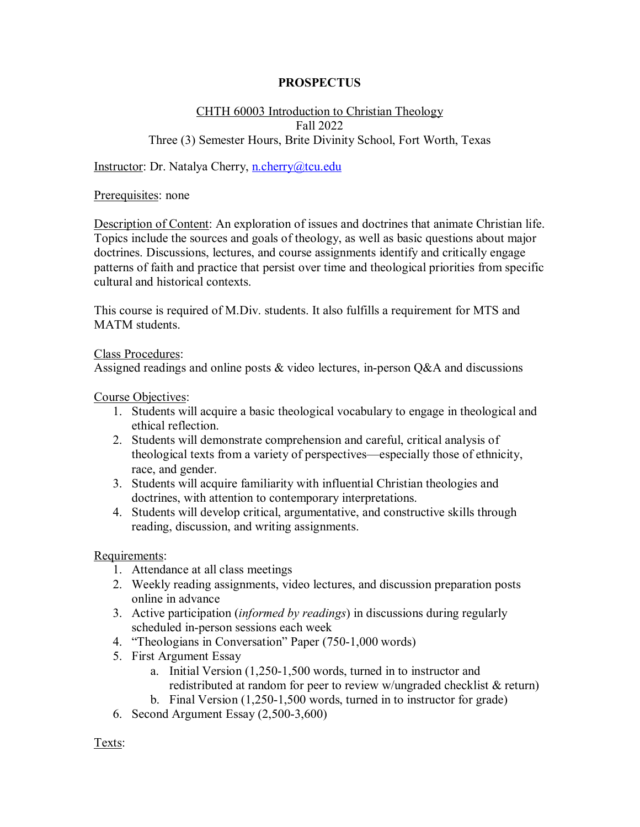## **PROSPECTUS**

## CHTH 60003 Introduction to Christian Theology Fall 2022 Three (3) Semester Hours, Brite Divinity School, Fort Worth, Texas

Instructor: Dr. Natalya Cherry, [n.cherry@tcu.edu](mailto:n.cherry@tcu.edu)

Prerequisites: none

Description of Content: An exploration of issues and doctrines that animate Christian life. Topics include the sources and goals of theology, as well as basic questions about major doctrines. Discussions, lectures, and course assignments identify and critically engage patterns of faith and practice that persist over time and theological priorities from specific cultural and historical contexts.

This course is required of M.Div. students. It also fulfills a requirement for MTS and MATM students.

## Class Procedures:

Assigned readings and online posts & video lectures, in-person Q&A and discussions

Course Objectives:

- 1. Students will acquire a basic theological vocabulary to engage in theological and ethical reflection.
- 2. Students will demonstrate comprehension and careful, critical analysis of theological texts from a variety of perspectives—especially those of ethnicity, race, and gender.
- 3. Students will acquire familiarity with influential Christian theologies and doctrines, with attention to contemporary interpretations.
- 4. Students will develop critical, argumentative, and constructive skills through reading, discussion, and writing assignments.

Requirements:

- 1. Attendance at all class meetings
- 2. Weekly reading assignments, video lectures, and discussion preparation posts online in advance
- 3. Active participation (*informed by readings*) in discussions during regularly scheduled in-person sessions each week
- 4. "Theologians in Conversation" Paper (750-1,000 words)
- 5. First Argument Essay
	- a. Initial Version (1,250-1,500 words, turned in to instructor and redistributed at random for peer to review w/ungraded checklist & return)
	- b. Final Version (1,250-1,500 words, turned in to instructor for grade)
- 6. Second Argument Essay (2,500-3,600)

Texts: